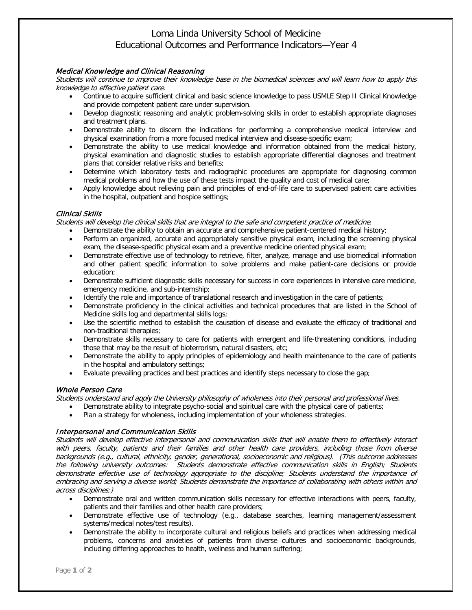# Loma Linda University School of Medicine Educational Outcomes and Performance Indicators—Year 4

### Medical Knowledge and Clinical Reasoning

Students will continue to improve their knowledge base in the biomedical sciences and will learn how to apply this knowledge to effective patient care.

- Continue to acquire sufficient clinical and basic science knowledge to pass USMLE Step II Clinical Knowledge and provide competent patient care under supervision.
- Develop diagnostic reasoning and analytic problem-solving skills in order to establish appropriate diagnoses and treatment plans.
- Demonstrate ability to discern the indications for performing a comprehensive medical interview and physical examination from a more focused medical interview and disease-specific exam;
- Demonstrate the ability to use medical knowledge and information obtained from the medical history, physical examination and diagnostic studies to establish appropriate differential diagnoses and treatment plans that consider relative risks and benefits;
- Determine which laboratory tests and radiographic procedures are appropriate for diagnosing common medical problems and how the use of these tests impact the quality and cost of medical care;
- Apply knowledge about relieving pain and principles of end-of-life care to supervised patient care activities in the hospital, outpatient and hospice settings;

### Clinical Skills

Students will develop the clinical skills that are integral to the safe and competent practice of medicine.

- Demonstrate the ability to obtain an accurate and comprehensive patient-centered medical history;
- Perform an organized, accurate and appropriately sensitive physical exam, including the screening physical exam, the disease-specific physical exam and a preventive medicine oriented physical exam;
- Demonstrate effective use of technology to retrieve, filter, analyze, manage and use biomedical information and other patient specific information to solve problems and make patient-care decisions or provide education;
- Demonstrate sufficient diagnostic skills necessary for success in core experiences in intensive care medicine, emergency medicine, and sub-internship;
- Identify the role and importance of translational research and investigation in the care of patients;
- Demonstrate proficiency in the clinical activities and technical procedures that are listed in the School of Medicine skills log and departmental skills logs;
- Use the scientific method to establish the causation of disease and evaluate the efficacy of traditional and non-traditional therapies;
- Demonstrate skills necessary to care for patients with emergent and life-threatening conditions, including those that may be the result of bioterrorism, natural disasters, etc;
- Demonstrate the ability to apply principles of epidemiology and health maintenance to the care of patients in the hospital and ambulatory settings;
- Evaluate prevailing practices and best practices and identify steps necessary to close the gap;

## Whole Person Care

Students understand and apply the University philosophy of wholeness into their personal and professional lives.

- Demonstrate ability to integrate psycho-social and spiritual care with the physical care of patients;
- Plan a strategy for wholeness, including implementation of your wholeness strategies.

#### Interpersonal and Communication Skills

Students will develop effective interpersonal and communication skills that will enable them to effectively interact with peers, faculty, patients and their families and other health care providers, including those from diverse backgrounds (e.g., cultural, ethnicity, gender, generational, socioeconomic and religious). (This outcome addresses the following university outcomes: Students demonstrate effective communication skills in English; Students demonstrate effective use of technology appropriate to the discipline; Students understand the importance of embracing and serving a diverse world; Students demonstrate the importance of collaborating with others within and across disciplines;)

- Demonstrate oral and written communication skills necessary for effective interactions with peers, faculty, patients and their families and other health care providers;
- Demonstrate effective use of technology (e.g., database searches, learning management/assessment systems/medical notes/test results).
- Demonstrate the ability to incorporate cultural and religious beliefs and practices when addressing medical problems, concerns and anxieties of patients from diverse cultures and socioeconomic backgrounds, including differing approaches to health, wellness and human suffering;